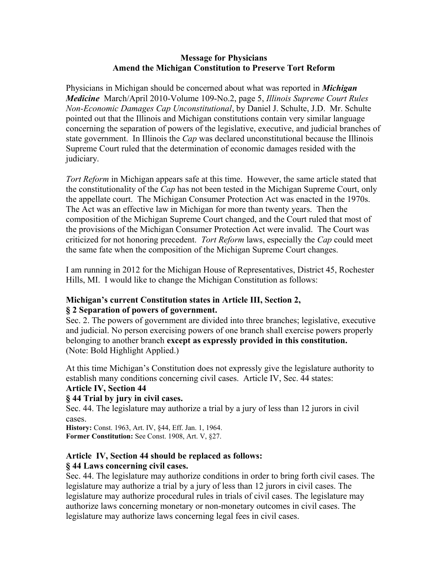#### **Message for Physicians Amend the Michigan Constitution to Preserve Tort Reform**

Physicians in Michigan should be concerned about what was reported in *Michigan Medicine* March/April 2010-Volume 109-No.2, page 5, *Illinois Supreme Court Rules Non-Economic Damages Cap Unconstitutional*, by Daniel J. Schulte, J.D. Mr. Schulte pointed out that the Illinois and Michigan constitutions contain very similar language concerning the separation of powers of the legislative, executive, and judicial branches of state government. In Illinois the *Cap* was declared unconstitutional because the Illinois Supreme Court ruled that the determination of economic damages resided with the judiciary.

*Tort Reform* in Michigan appears safe at this time. However, the same article stated that the constitutionality of the *Cap* has not been tested in the Michigan Supreme Court, only the appellate court. The Michigan Consumer Protection Act was enacted in the 1970s. The Act was an effective law in Michigan for more than twenty years. Then the composition of the Michigan Supreme Court changed, and the Court ruled that most of the provisions of the Michigan Consumer Protection Act were invalid. The Court was criticized for not honoring precedent. *Tort Reform* laws, especially the *Cap* could meet the same fate when the composition of the Michigan Supreme Court changes.

I am running in 2012 for the Michigan House of Representatives, District 45, Rochester Hills, MI. I would like to change the Michigan Constitution as follows:

### **Michigan's current Constitution states in Article III, Section 2, § 2 Separation of powers of government.**

Sec. 2. The powers of government are divided into three branches; legislative, executive and judicial. No person exercising powers of one branch shall exercise powers properly belonging to another branch **except as expressly provided in this constitution.** (Note: Bold Highlight Applied.)

At this time Michigan's Constitution does not expressly give the legislature authority to establish many conditions concerning civil cases. Article IV, Sec. 44 states:

### **Article IV, Section 44**

### **§ 44 Trial by jury in civil cases.**

Sec. 44. The legislature may authorize a trial by a jury of less than 12 jurors in civil cases.

**History:** Const. 1963, Art. IV, §44, Eff. Jan. 1, 1964. **Former Constitution:** See Const. 1908, Art. V, §27.

# **Article IV, Section 44 should be replaced as follows:**

# **§ 44 Laws concerning civil cases.**

Sec. 44. The legislature may authorize conditions in order to bring forth civil cases. The legislature may authorize a trial by a jury of less than 12 jurors in civil cases. The legislature may authorize procedural rules in trials of civil cases. The legislature may authorize laws concerning monetary or non-monetary outcomes in civil cases. The legislature may authorize laws concerning legal fees in civil cases.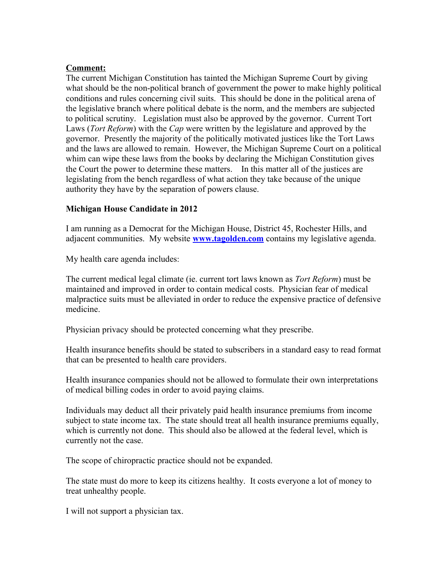### **Comment:**

The current Michigan Constitution has tainted the Michigan Supreme Court by giving what should be the non-political branch of government the power to make highly political conditions and rules concerning civil suits. This should be done in the political arena of the legislative branch where political debate is the norm, and the members are subjected to political scrutiny. Legislation must also be approved by the governor. Current Tort Laws (*Tort Reform*) with the *Cap* were written by the legislature and approved by the governor. Presently the majority of the politically motivated justices like the Tort Laws and the laws are allowed to remain. However, the Michigan Supreme Court on a political whim can wipe these laws from the books by declaring the Michigan Constitution gives the Court the power to determine these matters. In this matter all of the justices are legislating from the bench regardless of what action they take because of the unique authority they have by the separation of powers clause.

### **Michigan House Candidate in 2012**

I am running as a Democrat for the Michigan House, District 45, Rochester Hills, and adjacent communities. My website **[www.tagolden.com](http://www.tagolden.com/)** contains my legislative agenda.

My health care agenda includes:

The current medical legal climate (ie. current tort laws known as *Tort Reform*) must be maintained and improved in order to contain medical costs. Physician fear of medical malpractice suits must be alleviated in order to reduce the expensive practice of defensive medicine.

Physician privacy should be protected concerning what they prescribe.

Health insurance benefits should be stated to subscribers in a standard easy to read format that can be presented to health care providers.

Health insurance companies should not be allowed to formulate their own interpretations of medical billing codes in order to avoid paying claims.

Individuals may deduct all their privately paid health insurance premiums from income subject to state income tax. The state should treat all health insurance premiums equally, which is currently not done. This should also be allowed at the federal level, which is currently not the case.

The scope of chiropractic practice should not be expanded.

The state must do more to keep its citizens healthy. It costs everyone a lot of money to treat unhealthy people.

I will not support a physician tax.